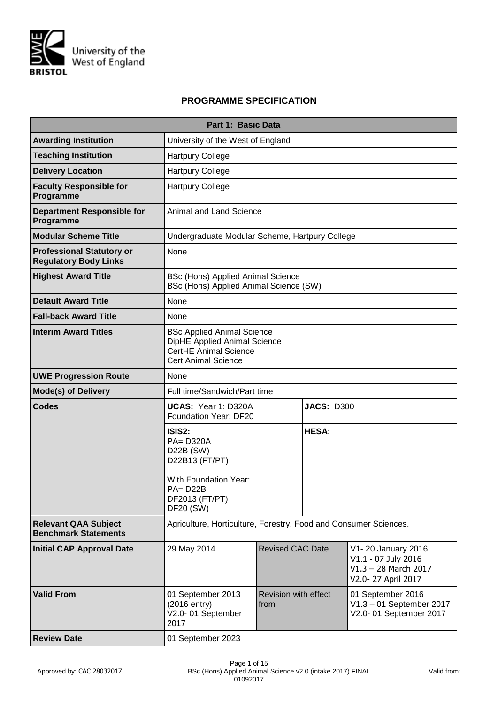

# **PROGRAMME SPECIFICATION**

|                                                                  | Part 1: Basic Data                                                                                                                                                               |  |                   |  |  |  |  |  |  |
|------------------------------------------------------------------|----------------------------------------------------------------------------------------------------------------------------------------------------------------------------------|--|-------------------|--|--|--|--|--|--|
| <b>Awarding Institution</b>                                      | University of the West of England                                                                                                                                                |  |                   |  |  |  |  |  |  |
| <b>Teaching Institution</b>                                      | <b>Hartpury College</b>                                                                                                                                                          |  |                   |  |  |  |  |  |  |
| <b>Delivery Location</b>                                         | <b>Hartpury College</b>                                                                                                                                                          |  |                   |  |  |  |  |  |  |
| <b>Faculty Responsible for</b><br>Programme                      | <b>Hartpury College</b>                                                                                                                                                          |  |                   |  |  |  |  |  |  |
| <b>Department Responsible for</b><br>Programme                   | <b>Animal and Land Science</b>                                                                                                                                                   |  |                   |  |  |  |  |  |  |
| <b>Modular Scheme Title</b>                                      | Undergraduate Modular Scheme, Hartpury College                                                                                                                                   |  |                   |  |  |  |  |  |  |
| <b>Professional Statutory or</b><br><b>Regulatory Body Links</b> | None                                                                                                                                                                             |  |                   |  |  |  |  |  |  |
| <b>Highest Award Title</b>                                       | <b>BSc (Hons) Applied Animal Science</b><br>BSc (Hons) Applied Animal Science (SW)                                                                                               |  |                   |  |  |  |  |  |  |
| <b>Default Award Title</b>                                       | None                                                                                                                                                                             |  |                   |  |  |  |  |  |  |
| <b>Fall-back Award Title</b>                                     | None                                                                                                                                                                             |  |                   |  |  |  |  |  |  |
| <b>Interim Award Titles</b>                                      | <b>BSc Applied Animal Science</b><br>DipHE Applied Animal Science<br><b>CertHE Animal Science</b><br><b>Cert Animal Science</b>                                                  |  |                   |  |  |  |  |  |  |
| <b>UWE Progression Route</b>                                     | None                                                                                                                                                                             |  |                   |  |  |  |  |  |  |
| <b>Mode(s) of Delivery</b>                                       | Full time/Sandwich/Part time                                                                                                                                                     |  |                   |  |  |  |  |  |  |
| <b>Codes</b>                                                     | UCAS: Year 1: D320A<br>Foundation Year: DF20                                                                                                                                     |  | <b>JACS: D300</b> |  |  |  |  |  |  |
|                                                                  | ISIS2:<br><b>PA=D320A</b><br>D22B (SW)<br>D22B13 (FT/PT)                                                                                                                         |  | <b>HESA:</b>      |  |  |  |  |  |  |
|                                                                  | With Foundation Year:<br>$PA = D22B$<br>DF2013 (FT/PT)<br>DF20 (SW)                                                                                                              |  |                   |  |  |  |  |  |  |
| <b>Relevant QAA Subject</b><br><b>Benchmark Statements</b>       | Agriculture, Horticulture, Forestry, Food and Consumer Sciences.                                                                                                                 |  |                   |  |  |  |  |  |  |
| <b>Initial CAP Approval Date</b>                                 | 29 May 2014<br><b>Revised CAC Date</b><br>V1-20 January 2016<br>V1.1 - 07 July 2016<br>$V1.3 - 28$ March 2017<br>V2.0-27 April 2017                                              |  |                   |  |  |  |  |  |  |
| <b>Valid From</b>                                                | 01 September 2016<br>01 September 2013<br><b>Revision with effect</b><br>(2016 entry)<br>V1.3 - 01 September 2017<br>from<br>V2.0-01 September<br>V2.0-01 September 2017<br>2017 |  |                   |  |  |  |  |  |  |
| <b>Review Date</b>                                               | 01 September 2023                                                                                                                                                                |  |                   |  |  |  |  |  |  |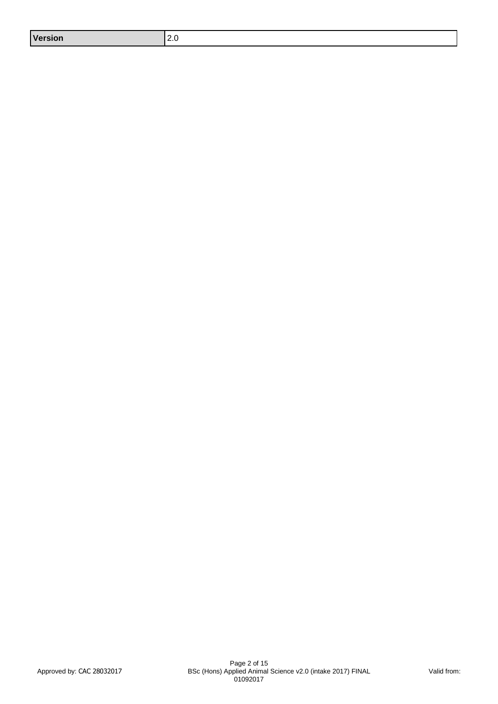| <b>Version</b><br><u>. . v</u> |  |
|--------------------------------|--|
|--------------------------------|--|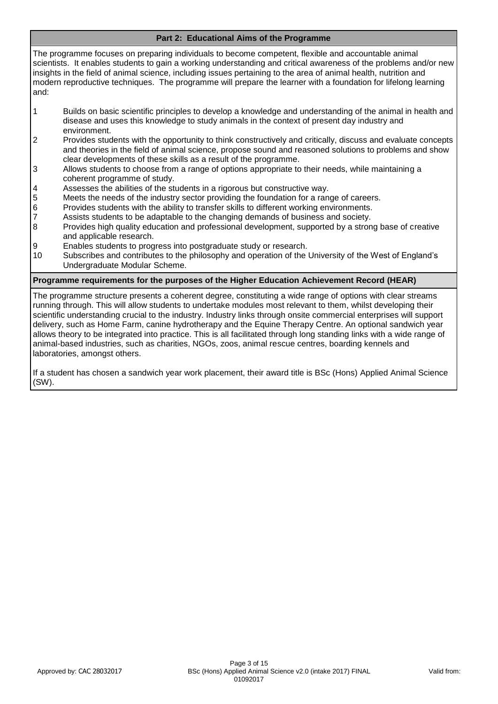### **Part 2: Educational Aims of the Programme**

The programme focuses on preparing individuals to become competent, flexible and accountable animal scientists. It enables students to gain a working understanding and critical awareness of the problems and/or new insights in the field of animal science, including issues pertaining to the area of animal health, nutrition and modern reproductive techniques. The programme will prepare the learner with a foundation for lifelong learning and:

- 1 Builds on basic scientific principles to develop a knowledge and understanding of the animal in health and disease and uses this knowledge to study animals in the context of present day industry and environment.
- 2 Provides students with the opportunity to think constructively and critically, discuss and evaluate concepts and theories in the field of animal science, propose sound and reasoned solutions to problems and show clear developments of these skills as a result of the programme.
- 3 Allows students to choose from a range of options appropriate to their needs, while maintaining a coherent programme of study.
- 4 Assesses the abilities of the students in a rigorous but constructive way.
- 5 Meets the needs of the industry sector providing the foundation for a range of careers.
- 6 Provides students with the ability to transfer skills to different working environments.
- 7 Assists students to be adaptable to the changing demands of business and society.<br>8 Provides high quality education and professional development, supported by a stron
- 8 Provides high quality education and professional development, supported by a strong base of creative and applicable research.
- 9 Enables students to progress into postgraduate study or research.
- 10 Subscribes and contributes to the philosophy and operation of the University of the West of England's Undergraduate Modular Scheme.

#### **Programme requirements for the purposes of the Higher Education Achievement Record (HEAR)**

The programme structure presents a coherent degree, constituting a wide range of options with clear streams running through. This will allow students to undertake modules most relevant to them, whilst developing their scientific understanding crucial to the industry. Industry links through onsite commercial enterprises will support delivery, such as Home Farm, canine hydrotherapy and the Equine Therapy Centre. An optional sandwich year allows theory to be integrated into practice. This is all facilitated through long standing links with a wide range of animal-based industries, such as charities, NGOs, zoos, animal rescue centres, boarding kennels and laboratories, amongst others.

If a student has chosen a sandwich year work placement, their award title is BSc (Hons) Applied Animal Science (SW).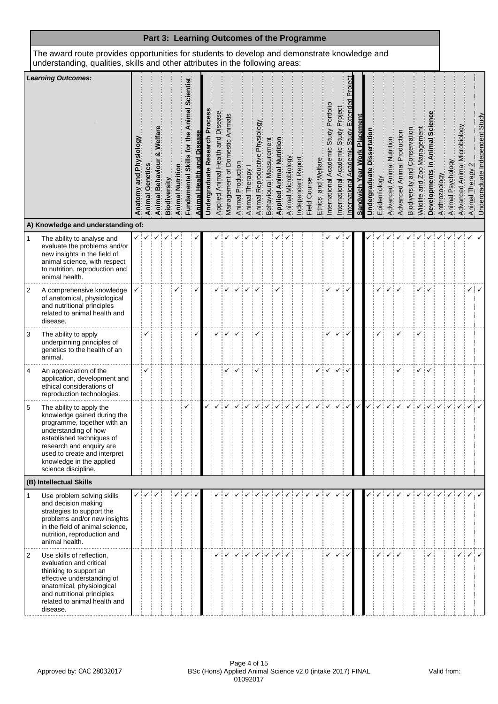|                |                                                                                                                                                                                                                                                            |                        |                    | Part 3: Learning Outcomes of the Programme |              |                                   |                                     |                      |                           |                                            |                                |                   |                |                                |                         |                                 |                     |                    |              |                    |                                                 |                                           |                                        |                                       |                               |              |                           |                               |                                  |                             |                        |               |                   |                              |                                     |                                 |
|----------------|------------------------------------------------------------------------------------------------------------------------------------------------------------------------------------------------------------------------------------------------------------|------------------------|--------------------|--------------------------------------------|--------------|-----------------------------------|-------------------------------------|----------------------|---------------------------|--------------------------------------------|--------------------------------|-------------------|----------------|--------------------------------|-------------------------|---------------------------------|---------------------|--------------------|--------------|--------------------|-------------------------------------------------|-------------------------------------------|----------------------------------------|---------------------------------------|-------------------------------|--------------|---------------------------|-------------------------------|----------------------------------|-----------------------------|------------------------|---------------|-------------------|------------------------------|-------------------------------------|---------------------------------|
|                | The award route provides opportunities for students to develop and demonstrate knowledge and<br>understanding, qualities, skills and other attributes in the following areas:                                                                              |                        |                    |                                            |              |                                   |                                     |                      |                           |                                            |                                |                   |                |                                |                         |                                 |                     |                    |              |                    |                                                 |                                           |                                        |                                       |                               |              |                           |                               |                                  |                             |                        |               |                   |                              |                                     |                                 |
|                | <b>Learning Outcomes:</b>                                                                                                                                                                                                                                  | Anatomy and Physiology | Genetics<br>Animal | Beh<br>Animal                              | Biodiversity | <u>등</u><br><b>Animal Nutriti</b> | $\mathbf 0$<br>Skill<br>Fundamental | Animal Health and Di | Research<br>Undergraduate | <b>Diseas</b><br>Applied Animal Health and | Management of Domestic Animals | Animal Production | Animal Therapy | Animal Reproductive Physiology | Behavioural Measurement | <b>Applied Animal Nutrition</b> | Animal Microbiology | Independent Report | Field Course | Ethics and Welfare | Portfol<br><b>Study</b><br>nternational Academi | Project<br>Study<br>nternational Academic | ءَ<br>Exten<br>cademic<br>nternational | Placemen<br><b>Sandwich Year Work</b> | Dissertation<br>Undergraduate | Epidemiology | Advanced Animal Nutrition | Production<br>Advanced Animal | Conservation<br>Biodiversity and | Wildlife and Zoo Management | Animal<br>Developments | Anthrozoology | Animal Psychology | Advanced Animal Microbiology | $\mathbf{\Omega}$<br>Animal Therapy | Undergraduate Independent Study |
|                | A) Knowledge and understanding of:                                                                                                                                                                                                                         |                        |                    |                                            |              |                                   |                                     |                      |                           |                                            |                                |                   |                |                                |                         |                                 |                     |                    |              |                    |                                                 |                                           |                                        |                                       |                               |              |                           |                               |                                  |                             |                        |               |                   |                              |                                     |                                 |
| 1              | The ability to analyse and<br>evaluate the problems and/or<br>new insights in the field of<br>animal science, with respect<br>to nutrition, reproduction and<br>animal health.                                                                             |                        |                    |                                            |              |                                   |                                     |                      |                           |                                            |                                |                   |                |                                |                         |                                 |                     |                    |              |                    |                                                 |                                           |                                        |                                       |                               |              |                           |                               |                                  |                             |                        |               |                   |                              |                                     |                                 |
| 2              | A comprehensive knowledge<br>of anatomical, physiological<br>and nutritional principles<br>related to animal health and<br>disease.                                                                                                                        |                        |                    |                                            |              |                                   |                                     |                      |                           |                                            |                                |                   |                |                                |                         |                                 |                     |                    |              |                    | ✓                                               |                                           | ✓                                      |                                       |                               |              |                           |                               |                                  |                             |                        |               |                   |                              | ✓                                   | ✓                               |
| 3              | The ability to apply<br>underpinning principles of<br>genetics to the health of an<br>animal.                                                                                                                                                              |                        |                    |                                            |              |                                   |                                     |                      |                           |                                            |                                |                   |                |                                |                         |                                 |                     |                    |              |                    |                                                 |                                           | ✓                                      |                                       |                               |              |                           |                               |                                  |                             |                        |               |                   |                              |                                     |                                 |
| 4              | An appreciation of the<br>application, development and<br>ethical considerations of<br>reproduction technologies.                                                                                                                                          |                        | ✓                  |                                            |              |                                   |                                     |                      |                           |                                            |                                |                   |                |                                |                         |                                 |                     |                    |              |                    |                                                 |                                           | ✓                                      |                                       |                               |              |                           |                               |                                  |                             |                        |               |                   |                              |                                     |                                 |
| 5              | The ability to apply the<br>knowledge gained during the<br>programme, together with an<br>understanding of how<br>established techniques of<br>research and enquiry are<br>used to create and interpret<br>knowledge in the applied<br>science discipline. |                        |                    |                                            |              |                                   |                                     |                      |                           |                                            |                                |                   |                |                                |                         |                                 |                     |                    |              |                    |                                                 |                                           |                                        |                                       |                               |              |                           |                               |                                  |                             |                        |               |                   |                              |                                     |                                 |
|                | (B) Intellectual Skills                                                                                                                                                                                                                                    |                        |                    |                                            |              |                                   |                                     |                      |                           |                                            |                                |                   |                |                                |                         |                                 |                     |                    |              |                    |                                                 |                                           |                                        |                                       |                               |              |                           |                               |                                  |                             |                        |               |                   |                              |                                     |                                 |
| 1              | Use problem solving skills<br>and decision making<br>strategies to support the<br>problems and/or new insights<br>in the field of animal science,<br>nutrition, reproduction and<br>animal health.                                                         | ✓                      |                    |                                            |              |                                   |                                     |                      |                           |                                            |                                |                   |                |                                |                         |                                 |                     |                    |              |                    |                                                 |                                           |                                        |                                       |                               |              |                           |                               |                                  |                             |                        |               |                   |                              |                                     |                                 |
| $\overline{2}$ | Use skills of reflection,<br>evaluation and critical<br>thinking to support an<br>effective understanding of<br>anatomical, physiological<br>and nutritional principles<br>related to animal health and<br>disease.                                        |                        |                    |                                            |              |                                   |                                     |                      |                           |                                            |                                |                   |                |                                | ✓                       |                                 |                     |                    |              |                    |                                                 | ✓                                         | ✓                                      |                                       |                               |              |                           |                               |                                  |                             |                        |               |                   | ✓                            | $\checkmark$                        |                                 |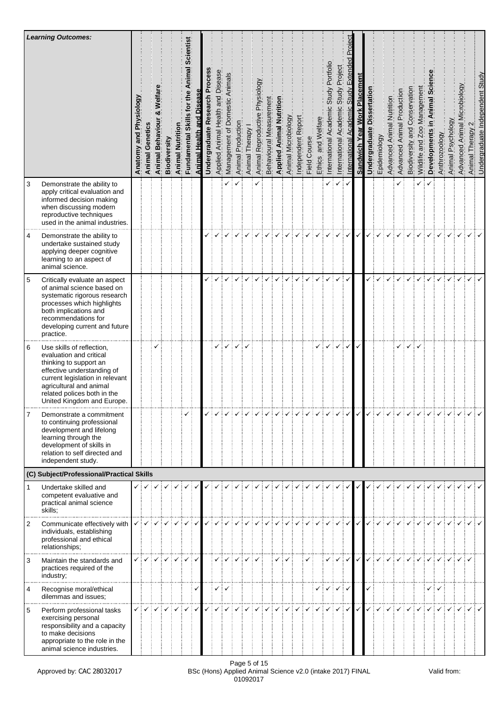|                | <b>Learning Outcomes:</b>                                                                                                                                                                                                               | Anatomy and Physiology | Genetics<br>Animal            | Behav<br>Animal | Biodiversity                  | <b>Animal Nutrition</b> | entist<br>ಀೢ<br>mal<br>ξ<br>tor<br>s,<br>Fundamental Skil | <b>Animal Health and Diseas</b> | ocess<br>՟<br>Research<br>Undergraduate | Applied Animal Health and Disease | Management of Domestic Animals | Animal Production | Animal Therapy | Physiology<br>Animal Reproductive | Behavioural Measurement<br>Applied Animal Nutrition | Animal Microbiology | Report<br>Independent | Field Course | and Welfare<br>Ethics                                                                                                                                                                                                                                                                                                                                                                                                                                                                 | Portfoli<br>Study<br>International Academic | Study Project<br>International Academic             | pect<br>൳<br>Extend<br><b>Study</b><br>International Academic | <b>Sandwich Year Work Placement</b> | Dissertation<br>Undergraduate | Epidemiology<br>Advanced Animal Nutrition | Production<br>Advanced Animal | Conservation<br>Biodiversity and | Wildlife and Zoo Management | 5ö<br>Animal<br>$\mathbf{C}$<br>Developments | Anthrozoology | Animal Psychology | crobiology<br>Advanced Animal M | Animal Therapy 2 | Undergraduate Independent Study |
|----------------|-----------------------------------------------------------------------------------------------------------------------------------------------------------------------------------------------------------------------------------------|------------------------|-------------------------------|-----------------|-------------------------------|-------------------------|-----------------------------------------------------------|---------------------------------|-----------------------------------------|-----------------------------------|--------------------------------|-------------------|----------------|-----------------------------------|-----------------------------------------------------|---------------------|-----------------------|--------------|---------------------------------------------------------------------------------------------------------------------------------------------------------------------------------------------------------------------------------------------------------------------------------------------------------------------------------------------------------------------------------------------------------------------------------------------------------------------------------------|---------------------------------------------|-----------------------------------------------------|---------------------------------------------------------------|-------------------------------------|-------------------------------|-------------------------------------------|-------------------------------|----------------------------------|-----------------------------|----------------------------------------------|---------------|-------------------|---------------------------------|------------------|---------------------------------|
| 3              | Demonstrate the ability to<br>apply critical evaluation and<br>informed decision making<br>when discussing modern<br>reproductive techniques<br>used in the animal industries.                                                          |                        |                               |                 |                               |                         |                                                           |                                 |                                         |                                   |                                |                   |                |                                   |                                                     |                     |                       |              |                                                                                                                                                                                                                                                                                                                                                                                                                                                                                       |                                             |                                                     | $\checkmark$                                                  |                                     |                               |                                           |                               |                                  |                             |                                              |               |                   |                                 |                  |                                 |
| 4              | Demonstrate the ability to<br>undertake sustained study<br>applying deeper cognitive<br>learning to an aspect of<br>animal science.                                                                                                     |                        |                               |                 |                               |                         |                                                           |                                 |                                         |                                   |                                |                   |                |                                   |                                                     |                     |                       |              |                                                                                                                                                                                                                                                                                                                                                                                                                                                                                       |                                             | ✓                                                   | $\checkmark$                                                  | $\checkmark$                        |                               |                                           |                               |                                  |                             |                                              |               |                   |                                 |                  |                                 |
| $\sqrt{5}$     | Critically evaluate an aspect<br>of animal science based on<br>systematic rigorous research<br>processes which highlights<br>both implications and<br>recommendations for<br>developing current and future<br>practice.                 |                        |                               |                 |                               |                         |                                                           |                                 |                                         |                                   |                                |                   |                |                                   |                                                     |                     |                       |              | ✓                                                                                                                                                                                                                                                                                                                                                                                                                                                                                     |                                             |                                                     | $\checkmark$                                                  |                                     |                               |                                           |                               |                                  |                             |                                              |               |                   |                                 |                  |                                 |
| 6              | Use skills of reflection,<br>evaluation and critical<br>thinking to support an<br>effective understanding of<br>current legislation in relevant<br>agricultural and animal<br>related polices both in the<br>United Kingdom and Europe. |                        |                               | ✓               |                               |                         |                                                           |                                 |                                         | ✓                                 | ✓                              | ✓                 |                |                                   |                                                     |                     |                       |              | ✓                                                                                                                                                                                                                                                                                                                                                                                                                                                                                     |                                             | ✓                                                   | ✓                                                             | $\checkmark$                        |                               |                                           |                               |                                  |                             |                                              |               |                   |                                 |                  |                                 |
|                | Demonstrate a commitment<br>to continuing professional<br>development and lifelong<br>learning through the<br>development of skills in<br>relation to self directed and<br>independent study.                                           |                        |                               |                 |                               |                         |                                                           |                                 |                                         |                                   |                                |                   |                |                                   |                                                     |                     |                       |              | $\begin{array}{c} \begin{array}{c} \begin{array}{c} \mathbf{1} & \mathbf{1} \\ \mathbf{1} & \mathbf{1} \end{array} \\ \mathbf{1} & \mathbf{1} \end{array} \end{array} \end{array} \begin{array}{c} \begin{array}{c} \mathbf{1} & \mathbf{1} \\ \mathbf{1} & \mathbf{1} \end{array} \end{array} \begin{array}{c} \begin{array}{c} \mathbf{1} & \mathbf{1} \\ \mathbf{1} & \mathbf{1} \end{array} \end{array} \begin{array}{c} \mathbf{1} & \mathbf{1} \\ \mathbf{1} & \mathbf{1} \end$ |                                             |                                                     |                                                               |                                     |                               |                                           |                               |                                  |                             |                                              |               |                   |                                 |                  |                                 |
|                | (C) Subject/Professional/Practical Skills                                                                                                                                                                                               |                        |                               |                 |                               |                         |                                                           |                                 |                                         |                                   |                                |                   |                |                                   |                                                     |                     |                       |              |                                                                                                                                                                                                                                                                                                                                                                                                                                                                                       |                                             |                                                     |                                                               |                                     |                               |                                           |                               |                                  |                             |                                              |               |                   |                                 |                  |                                 |
| $\mathbf{1}$   | Undertake skilled and<br>competent evaluative and<br>practical animal science<br>skills;                                                                                                                                                |                        | ✓┊✓┊                          |                 | $\checkmark$ : $\checkmark$ : | ✓┊                      |                                                           |                                 |                                         |                                   |                                |                   |                |                                   |                                                     |                     |                       |              | ✓                                                                                                                                                                                                                                                                                                                                                                                                                                                                                     |                                             |                                                     | $\checkmark$                                                  | $\checkmark$                        |                               |                                           |                               |                                  |                             |                                              |               |                   |                                 |                  |                                 |
| $\overline{2}$ | Communicate effectively with<br>individuals, establishing<br>professional and ethical<br>relationships;                                                                                                                                 |                        | $\checkmark$ : $\checkmark$ : |                 |                               |                         |                                                           |                                 |                                         |                                   |                                |                   |                |                                   |                                                     |                     |                       |              |                                                                                                                                                                                                                                                                                                                                                                                                                                                                                       |                                             | $\checkmark$                                        | $\checkmark$                                                  |                                     |                               |                                           |                               |                                  |                             |                                              |               |                   |                                 |                  |                                 |
| 3              | Maintain the standards and<br>practices required of the<br>industry;                                                                                                                                                                    |                        | ✓┊✓┊                          |                 | $\checkmark$                  |                         |                                                           |                                 |                                         | ✓                                 |                                |                   |                |                                   |                                                     |                     |                       |              |                                                                                                                                                                                                                                                                                                                                                                                                                                                                                       |                                             |                                                     | $\checkmark$                                                  | $\checkmark$                        | ✓                             |                                           |                               |                                  |                             |                                              |               |                   |                                 |                  |                                 |
| 4              | Recognise moral/ethical<br>dilemmas and issues;                                                                                                                                                                                         |                        |                               |                 |                               |                         |                                                           |                                 |                                         |                                   | ✓┊✓                            |                   |                |                                   |                                                     |                     |                       |              |                                                                                                                                                                                                                                                                                                                                                                                                                                                                                       |                                             | $\checkmark$ $\checkmark$ $\checkmark$ $\checkmark$ |                                                               |                                     |                               |                                           |                               |                                  |                             | ✓┊✓                                          |               |                   |                                 |                  |                                 |
| 5              | Perform professional tasks<br>exercising personal<br>responsibility and a capacity<br>to make decisions<br>appropriate to the role in the<br>animal science industries.                                                                 |                        |                               |                 |                               |                         |                                                           |                                 |                                         |                                   |                                |                   |                |                                   |                                                     |                     |                       |              |                                                                                                                                                                                                                                                                                                                                                                                                                                                                                       |                                             |                                                     |                                                               |                                     |                               |                                           |                               |                                  |                             |                                              |               |                   |                                 |                  |                                 |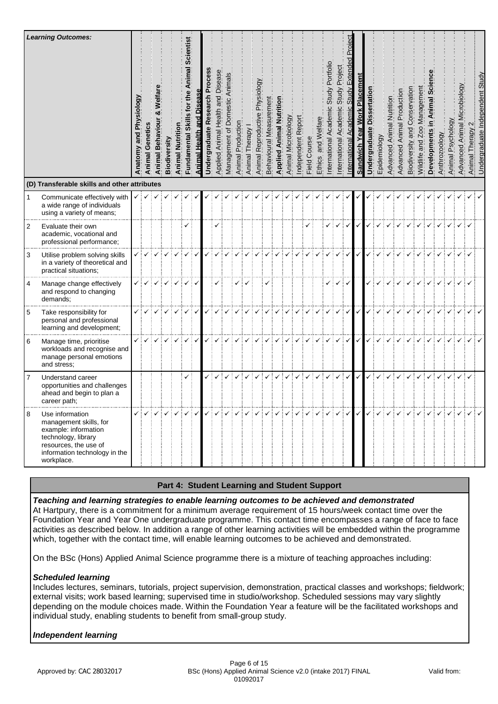|                | <b>Learning Outcomes:</b><br>(D) Transferable skills and other attributes                                                                                        | Physiology<br>and<br>Anatomy | Genet<br>Animal             | n<br>Beh<br>Animal | Biodiversity    | Animal Nutrition | entist<br>င္တ<br>mal<br>ξ<br>Skill<br>Fundamental | and<br><b>Animal Health</b> | earch<br>Undergraduate | Disease<br>Applied Animal Health and | of Domestic Animals<br>Management | Production<br>Animal | Animal Therapy | Physiology<br>Animal Reproductive | ement<br>Behavioural Measu | <b>Applied Animal Nutl</b> | Animal Microbiology | Report<br>ndependent | Course<br>Field | and Welfare<br>Ethics                                                                                                                                                                                                                                                                                                                                                                                                                                       | Portfol<br>Study<br>$\overline{a}$<br>nternational Academ | Project<br>Study<br><u>ي</u><br>nternational Academi | $\Omega$<br>Study<br>nternational | Placemen<br><b>Sandwich Year Work</b> | ssertation<br><b>Undergraduate</b> | Epidemiology | Nutrition<br><b>Advanced Animal</b> | Production<br>Animal<br>Advanced | Conservation<br>and<br>Biodiversity | Management<br>Wildlife and Zoo | Animal<br>Developments | Anthrozoology | Psychology<br>Animal F | crobiology<br>⋝<br>Animal<br>Advanced | Animal Therapy 2                                                                                                                                                                                                                                                                                                                                                                                                                                                                                                                                             | <b>Jndergraduate Independent Study</b> |
|----------------|------------------------------------------------------------------------------------------------------------------------------------------------------------------|------------------------------|-----------------------------|--------------------|-----------------|------------------|---------------------------------------------------|-----------------------------|------------------------|--------------------------------------|-----------------------------------|----------------------|----------------|-----------------------------------|----------------------------|----------------------------|---------------------|----------------------|-----------------|-------------------------------------------------------------------------------------------------------------------------------------------------------------------------------------------------------------------------------------------------------------------------------------------------------------------------------------------------------------------------------------------------------------------------------------------------------------|-----------------------------------------------------------|------------------------------------------------------|-----------------------------------|---------------------------------------|------------------------------------|--------------|-------------------------------------|----------------------------------|-------------------------------------|--------------------------------|------------------------|---------------|------------------------|---------------------------------------|--------------------------------------------------------------------------------------------------------------------------------------------------------------------------------------------------------------------------------------------------------------------------------------------------------------------------------------------------------------------------------------------------------------------------------------------------------------------------------------------------------------------------------------------------------------|----------------------------------------|
| $\mathbf{1}$   | Communicate effectively with<br>a wide range of individuals                                                                                                      |                              | $\checkmark$ $\checkmark$ : | ✓┊                 |                 |                  |                                                   |                             |                        |                                      |                                   |                      |                |                                   |                            |                            |                     |                      |                 |                                                                                                                                                                                                                                                                                                                                                                                                                                                             |                                                           |                                                      |                                   |                                       |                                    |              |                                     |                                  |                                     |                                |                        |               |                        |                                       |                                                                                                                                                                                                                                                                                                                                                                                                                                                                                                                                                              |                                        |
|                | using a variety of means;                                                                                                                                        |                              |                             |                    |                 |                  |                                                   |                             |                        |                                      |                                   |                      |                |                                   |                            |                            |                     |                      |                 |                                                                                                                                                                                                                                                                                                                                                                                                                                                             |                                                           |                                                      |                                   |                                       |                                    |              |                                     |                                  |                                     |                                |                        |               |                        |                                       |                                                                                                                                                                                                                                                                                                                                                                                                                                                                                                                                                              |                                        |
| $\overline{2}$ | Evaluate their own<br>academic, vocational and<br>professional performance;                                                                                      |                              |                             |                    |                 |                  | ✓                                                 |                             |                        |                                      |                                   |                      |                |                                   |                            |                            |                     |                      | ✓               |                                                                                                                                                                                                                                                                                                                                                                                                                                                             |                                                           | ✓                                                    | $\checkmark$                      |                                       |                                    |              |                                     |                                  |                                     |                                |                        |               |                        |                                       |                                                                                                                                                                                                                                                                                                                                                                                                                                                                                                                                                              |                                        |
| 3              | Utilise problem solving skills<br>in a variety of theoretical and<br>practical situations;                                                                       |                              |                             |                    |                 |                  |                                                   |                             |                        |                                      |                                   |                      |                |                                   |                            |                            |                     |                      |                 |                                                                                                                                                                                                                                                                                                                                                                                                                                                             |                                                           |                                                      | $\checkmark$                      |                                       |                                    |              |                                     |                                  |                                     |                                |                        |               |                        |                                       |                                                                                                                                                                                                                                                                                                                                                                                                                                                                                                                                                              |                                        |
| 4              | Manage change effectively<br>and respond to changing<br>demands;                                                                                                 |                              | $\checkmark$                |                    | $\checkmark$ iv | $\checkmark$     | ✓                                                 | ✓                           |                        | ✓                                    |                                   |                      |                |                                   |                            |                            |                     |                      |                 |                                                                                                                                                                                                                                                                                                                                                                                                                                                             |                                                           | ✓                                                    | $\checkmark$                      |                                       |                                    |              |                                     |                                  |                                     |                                |                        |               | $\checkmark$           | ✓┊✓                                   |                                                                                                                                                                                                                                                                                                                                                                                                                                                                                                                                                              |                                        |
| $\sqrt{5}$     | Take responsibility for<br>personal and professional<br>learning and development;                                                                                |                              |                             |                    |                 |                  | ✓                                                 | ✓                           |                        |                                      |                                   |                      |                |                                   |                            |                            |                     |                      |                 |                                                                                                                                                                                                                                                                                                                                                                                                                                                             |                                                           | ✓                                                    | $\checkmark$                      | $\checkmark$                          | ✓                                  |              |                                     |                                  |                                     |                                |                        |               |                        |                                       |                                                                                                                                                                                                                                                                                                                                                                                                                                                                                                                                                              |                                        |
| 6              | Manage time, prioritise<br>workloads and recognise and<br>manage personal emotions<br>and stress;                                                                | ✓                            |                             |                    | ✓               | ✓                | $\checkmark$                                      | $\checkmark$                |                        |                                      |                                   |                      |                |                                   |                            |                            |                     |                      |                 |                                                                                                                                                                                                                                                                                                                                                                                                                                                             |                                                           | $\checkmark$                                         | ┆✓∣                               | $\checkmark$                          | ✓                                  |              |                                     |                                  |                                     |                                |                        |               |                        |                                       |                                                                                                                                                                                                                                                                                                                                                                                                                                                                                                                                                              |                                        |
| $\overline{7}$ | Understand career<br>opportunities and challenges<br>ahead and begin to plan a<br>career path;                                                                   |                              |                             |                    |                 |                  | ✓                                                 |                             |                        |                                      |                                   |                      |                |                                   |                            |                            |                     |                      | ✓               | $\checkmark$                                                                                                                                                                                                                                                                                                                                                                                                                                                | ÷V                                                        | $\checkmark$                                         | $\checkmark$                      | $\checkmark$                          | ✓                                  |              |                                     |                                  |                                     |                                |                        |               |                        |                                       |                                                                                                                                                                                                                                                                                                                                                                                                                                                                                                                                                              |                                        |
| 8              | Use information<br>management skills, for<br>example: information<br>technology, library<br>resources, the use of<br>information technology in the<br>workplace. |                              |                             |                    |                 |                  |                                                   |                             |                        |                                      |                                   |                      |                |                                   |                            |                            |                     |                      |                 | $\mathcal{L}[\mathcal{L}[\mathcal{L}[\mathcal{L}[\mathcal{L}[\mathcal{L}[\mathcal{L}[\mathcal{L}[\mathcal{L}[\mathcal{L}[\mathcal{L}[\mathcal{L}[\mathcal{L}[\mathcal{L}[\mathcal{L}[\mathcal{L}[\mathcal{L}[\mathcal{L}[\mathcal{L}[\mathcal{L}[\mathcal{L}[\mathcal{L}[\mathcal{L}[\mathcal{L}[\mathcal{L}[\mathcal{L}[\mathcal{L}[\mathcal{L}[\mathcal{L}[\mathcal{L}[\mathcal{L}[\mathcal{L}[\mathcal{L}[\mathcal{L}[\mathcal{L}[\mathcal{L}[\mathcal{$ |                                                           |                                                      |                                   |                                       |                                    |              |                                     |                                  |                                     |                                |                        |               |                        |                                       | $\begin{array}{c} \begin{array}{c} \begin{array}{c} \end{array}\\ \begin{array}{c} \end{array}\\ \end{array} \end{array} \end{array} \begin{array}{c} \begin{array}{c} \begin{array}{c} \end{array}\\ \begin{array}{c} \end{array} \end{array} \end{array} \begin{array}{c} \begin{array}{c} \end{array} \end{array} \begin{array}{c} \begin{array}{c} \end{array} \end{array} \begin{array}{c} \begin{array}{c} \end{array} \end{array} \begin{array}{c} \end{array} \begin{array}{c} \end{array} \end{array} \begin{array}{c} \begin{array}{c} \end{array$ |                                        |

## **Part 4: Student Learning and Student Support**

### *Teaching and learning strategies to enable learning outcomes to be achieved and demonstrated*

At Hartpury, there is a commitment for a minimum average requirement of 15 hours/week contact time over the Foundation Year and Year One undergraduate programme. This contact time encompasses a range of face to face activities as described below. In addition a range of other learning activities will be embedded within the programme which, together with the contact time, will enable learning outcomes to be achieved and demonstrated.

On the BSc (Hons) Applied Animal Science programme there is a mixture of teaching approaches including:

## *Scheduled learning*

Includes lectures, seminars, tutorials, project supervision, demonstration, practical classes and workshops; fieldwork; external visits; work based learning; supervised time in studio/workshop. Scheduled sessions may vary slightly depending on the module choices made. Within the Foundation Year a feature will be the facilitated workshops and individual study, enabling students to benefit from small-group study.

# *Independent learning*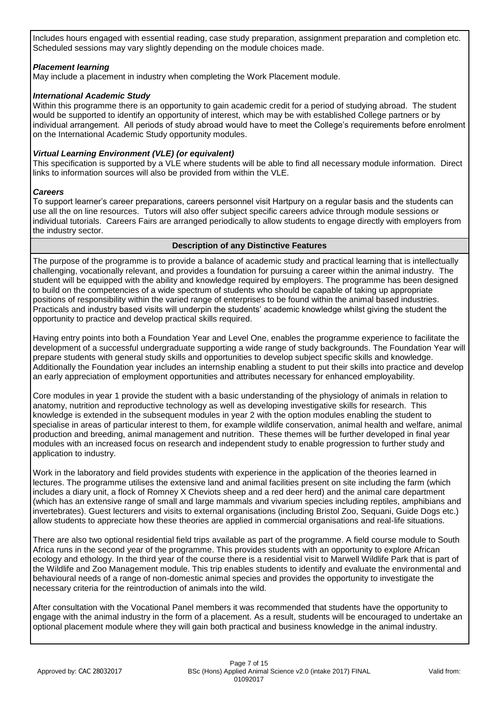Includes hours engaged with essential reading, case study preparation, assignment preparation and completion etc. Scheduled sessions may vary slightly depending on the module choices made.

### *Placement learning*

May include a placement in industry when completing the Work Placement module.

### *International Academic Study*

Within this programme there is an opportunity to gain academic credit for a period of studying abroad. The student would be supported to identify an opportunity of interest, which may be with established College partners or by individual arrangement. All periods of study abroad would have to meet the College's requirements before enrolment on the International Academic Study opportunity modules.

### *Virtual Learning Environment (VLE) (or equivalent)*

This specification is supported by a VLE where students will be able to find all necessary module information. Direct links to information sources will also be provided from within the VLE.

#### *Careers*

To support learner's career preparations, careers personnel visit Hartpury on a regular basis and the students can use all the on line resources. Tutors will also offer subject specific careers advice through module sessions or individual tutorials. Careers Fairs are arranged periodically to allow students to engage directly with employers from the industry sector.

### **Description of any Distinctive Features**

The purpose of the programme is to provide a balance of academic study and practical learning that is intellectually challenging, vocationally relevant, and provides a foundation for pursuing a career within the animal industry. The student will be equipped with the ability and knowledge required by employers. The programme has been designed to build on the competencies of a wide spectrum of students who should be capable of taking up appropriate positions of responsibility within the varied range of enterprises to be found within the animal based industries. Practicals and industry based visits will underpin the students' academic knowledge whilst giving the student the opportunity to practice and develop practical skills required.

Having entry points into both a Foundation Year and Level One, enables the programme experience to facilitate the development of a successful undergraduate supporting a wide range of study backgrounds. The Foundation Year will prepare students with general study skills and opportunities to develop subject specific skills and knowledge. Additionally the Foundation year includes an internship enabling a student to put their skills into practice and develop an early appreciation of employment opportunities and attributes necessary for enhanced employability.

Core modules in year 1 provide the student with a basic understanding of the physiology of animals in relation to anatomy, nutrition and reproductive technology as well as developing investigative skills for research. This knowledge is extended in the subsequent modules in year 2 with the option modules enabling the student to specialise in areas of particular interest to them, for example wildlife conservation, animal health and welfare, animal production and breeding, animal management and nutrition. These themes will be further developed in final year modules with an increased focus on research and independent study to enable progression to further study and application to industry.

Work in the laboratory and field provides students with experience in the application of the theories learned in lectures. The programme utilises the extensive land and animal facilities present on site including the farm (which includes a diary unit, a flock of Romney X Cheviots sheep and a red deer herd) and the animal care department (which has an extensive range of small and large mammals and vivarium species including reptiles, amphibians and invertebrates). Guest lecturers and visits to external organisations (including Bristol Zoo, Sequani, Guide Dogs etc.) allow students to appreciate how these theories are applied in commercial organisations and real-life situations.

There are also two optional residential field trips available as part of the programme. A field course module to South Africa runs in the second year of the programme. This provides students with an opportunity to explore African ecology and ethology. In the third year of the course there is a residential visit to Marwell Wildlife Park that is part of the Wildlife and Zoo Management module. This trip enables students to identify and evaluate the environmental and behavioural needs of a range of non-domestic animal species and provides the opportunity to investigate the necessary criteria for the reintroduction of animals into the wild.

After consultation with the Vocational Panel members it was recommended that students have the opportunity to engage with the animal industry in the form of a placement. As a result, students will be encouraged to undertake an optional placement module where they will gain both practical and business knowledge in the animal industry.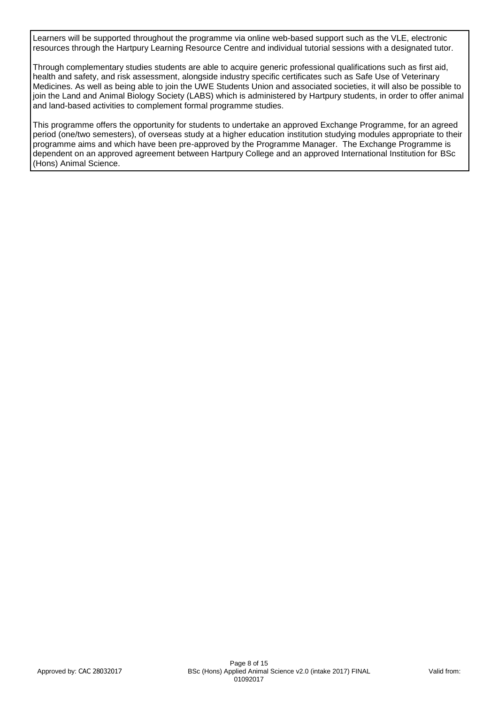Learners will be supported throughout the programme via online web-based support such as the VLE, electronic resources through the Hartpury Learning Resource Centre and individual tutorial sessions with a designated tutor.

Through complementary studies students are able to acquire generic professional qualifications such as first aid, health and safety, and risk assessment, alongside industry specific certificates such as Safe Use of Veterinary Medicines. As well as being able to join the UWE Students Union and associated societies, it will also be possible to join the Land and Animal Biology Society (LABS) which is administered by Hartpury students, in order to offer animal and land-based activities to complement formal programme studies.

This programme offers the opportunity for students to undertake an approved Exchange Programme, for an agreed period (one/two semesters), of overseas study at a higher education institution studying modules appropriate to their programme aims and which have been pre-approved by the Programme Manager. The Exchange Programme is dependent on an approved agreement between Hartpury College and an approved International Institution for BSc (Hons) Animal Science.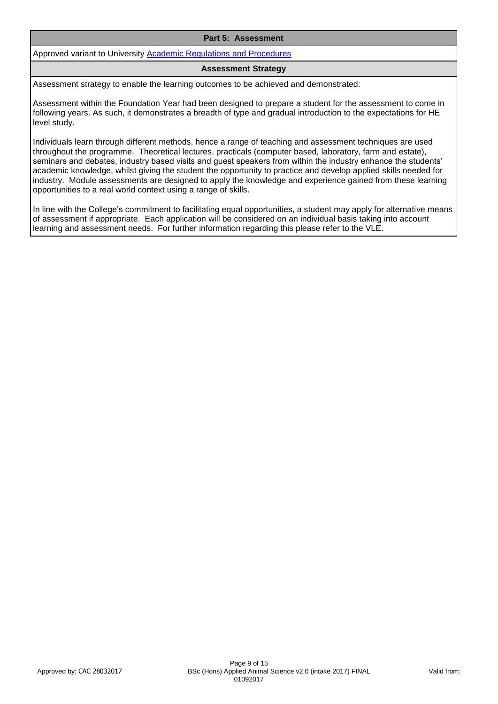#### **Part 5: Assessment**

Approved variant to University [Academic Regulations and Procedures](http://www1.uwe.ac.uk/students/academicadvice/assessments/regulationsandprocedures.aspx)

#### **Assessment Strategy**

Assessment strategy to enable the learning outcomes to be achieved and demonstrated:

Assessment within the Foundation Year had been designed to prepare a student for the assessment to come in following years. As such, it demonstrates a breadth of type and gradual introduction to the expectations for HE level study.

Individuals learn through different methods, hence a range of teaching and assessment techniques are used throughout the programme. Theoretical lectures, practicals (computer based, laboratory, farm and estate), seminars and debates, industry based visits and guest speakers from within the industry enhance the students' academic knowledge, whilst giving the student the opportunity to practice and develop applied skills needed for industry. Module assessments are designed to apply the knowledge and experience gained from these learning opportunities to a real world context using a range of skills.

In line with the College's commitment to facilitating equal opportunities, a student may apply for alternative means of assessment if appropriate. Each application will be considered on an individual basis taking into account learning and assessment needs. For further information regarding this please refer to the VLE.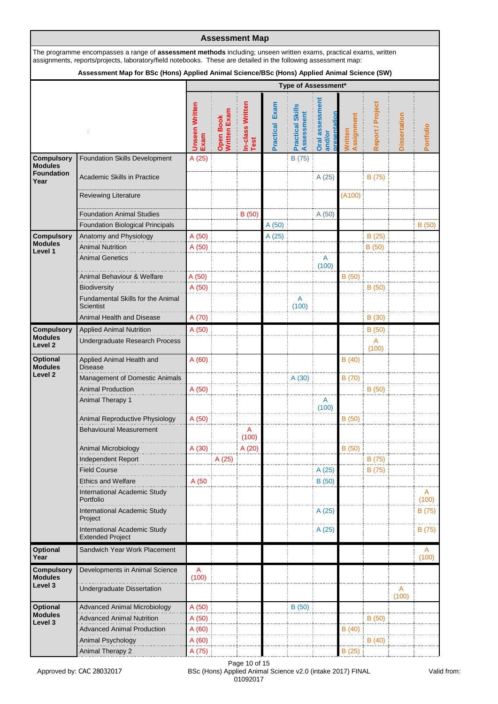|                                     |                                                                                                                                                                                                                                     |                               |                           | <b>Assessment Map</b>    |                          |                                       |                                     |                              |                  |                     |            |
|-------------------------------------|-------------------------------------------------------------------------------------------------------------------------------------------------------------------------------------------------------------------------------------|-------------------------------|---------------------------|--------------------------|--------------------------|---------------------------------------|-------------------------------------|------------------------------|------------------|---------------------|------------|
|                                     | The programme encompasses a range of assessment methods including; unseen written exams, practical exams, written<br>assignments, reports/projects, laboratory/field notebooks. These are detailed in the following assessment map: |                               |                           |                          |                          |                                       |                                     |                              |                  |                     |            |
|                                     | Assessment Map for BSc (Hons) Applied Animal Science/BSc (Hons) Applied Animal Science (SW)                                                                                                                                         |                               |                           |                          |                          |                                       |                                     |                              |                  |                     |            |
|                                     |                                                                                                                                                                                                                                     |                               |                           |                          |                          | Type of Assessment*                   |                                     |                              |                  |                     |            |
|                                     |                                                                                                                                                                                                                                     | <b>Unseen Written</b><br>Exam | Open Book<br>Written Exam | In-class Written<br>Test | Exam<br><b>Practical</b> | <b>Practical Skills</b><br>Assessment | assessment<br>and/or<br><b>Oral</b> | Assignment<br><b>Nritten</b> | Report / Project | <b>Dissertation</b> | Portfolio  |
| <b>Compulsory</b><br><b>Modules</b> | <b>Foundation Skills Development</b>                                                                                                                                                                                                | A(25)                         |                           |                          |                          | B (75)                                |                                     |                              |                  |                     |            |
| <b>Foundation</b><br>Year           | <b>Academic Skills in Practice</b>                                                                                                                                                                                                  |                               |                           |                          |                          |                                       | A (25)                              |                              | B (75)           |                     |            |
|                                     | <b>Reviewing Literature</b>                                                                                                                                                                                                         |                               |                           |                          |                          |                                       |                                     | (A100)                       |                  |                     |            |
|                                     | <b>Foundation Animal Studies</b>                                                                                                                                                                                                    |                               |                           | B (50)                   |                          |                                       | A (50)                              |                              |                  |                     |            |
|                                     | <b>Foundation Biological Principals</b>                                                                                                                                                                                             |                               |                           |                          | A(50)                    |                                       |                                     |                              |                  |                     | B(50)      |
| <b>Compulsory</b>                   | Anatomy and Physiology                                                                                                                                                                                                              | A (50)                        |                           |                          | A(25)                    |                                       |                                     |                              | B(25)            |                     |            |
| <b>Modules</b><br>Level 1           | <b>Animal Nutrition</b>                                                                                                                                                                                                             | A(50)                         |                           |                          |                          |                                       |                                     |                              | B (50)           |                     |            |
|                                     | <b>Animal Genetics</b>                                                                                                                                                                                                              |                               |                           |                          |                          |                                       | A<br>(100)                          |                              |                  |                     |            |
|                                     | Animal Behaviour & Welfare                                                                                                                                                                                                          | A (50)                        |                           |                          |                          |                                       |                                     | B(50)                        |                  |                     |            |
|                                     | Biodiversity                                                                                                                                                                                                                        | A (50)                        |                           |                          |                          |                                       |                                     |                              | B(50)            |                     |            |
|                                     | Fundamental Skills for the Animal<br><b>Scientist</b>                                                                                                                                                                               |                               |                           |                          |                          | A<br>(100)                            |                                     |                              |                  |                     |            |
|                                     | Animal Health and Disease                                                                                                                                                                                                           | A (70)                        |                           |                          |                          |                                       |                                     |                              | B(30)            |                     |            |
| <b>Compulsory</b>                   | <b>Applied Animal Nutrition</b>                                                                                                                                                                                                     | A (50)                        |                           |                          |                          |                                       |                                     |                              | B(50)            |                     |            |
| <b>Modules</b><br>Level 2           | Undergraduate Research Process                                                                                                                                                                                                      |                               |                           |                          |                          |                                       |                                     |                              | A<br>(100)       |                     |            |
| <b>Optional</b><br><b>Modules</b>   | Applied Animal Health and<br>Disease                                                                                                                                                                                                | A(60)                         |                           |                          |                          |                                       |                                     | B(40)                        |                  |                     |            |
| Level <sub>2</sub>                  | <b>Management of Domestic Animals</b>                                                                                                                                                                                               |                               |                           |                          |                          | A (30)                                |                                     | B (70)                       |                  |                     |            |
|                                     | <b>Animal Production</b>                                                                                                                                                                                                            | A(50)                         |                           |                          |                          |                                       |                                     |                              | B(50)            |                     |            |
|                                     | Animal Therapy 1                                                                                                                                                                                                                    |                               |                           |                          |                          |                                       | Α<br>(100)                          |                              |                  |                     |            |
|                                     | Animal Reproductive Physiology                                                                                                                                                                                                      | A (50)                        |                           |                          |                          |                                       |                                     | B (50)                       |                  |                     |            |
|                                     | <b>Behavioural Measurement</b>                                                                                                                                                                                                      |                               |                           | A                        |                          |                                       |                                     |                              |                  |                     |            |
|                                     |                                                                                                                                                                                                                                     |                               |                           | (100)                    |                          |                                       |                                     |                              |                  |                     |            |
|                                     | Animal Microbiology                                                                                                                                                                                                                 | A (30)                        |                           | A (20)                   |                          |                                       |                                     | B(50)                        |                  |                     |            |
|                                     | Independent Report                                                                                                                                                                                                                  |                               | A (25)                    |                          |                          |                                       |                                     |                              | B (75)           |                     |            |
|                                     | <b>Field Course</b><br><b>Ethics and Welfare</b>                                                                                                                                                                                    | A (50                         |                           |                          |                          |                                       | A(25)<br>B (50)                     |                              | B (75)           |                     |            |
|                                     | International Academic Study                                                                                                                                                                                                        |                               |                           |                          |                          |                                       |                                     |                              |                  |                     |            |
|                                     | Portfolio                                                                                                                                                                                                                           |                               |                           |                          |                          |                                       |                                     |                              |                  |                     | (100)      |
|                                     | International Academic Study<br>Project                                                                                                                                                                                             |                               |                           |                          |                          |                                       | A (25)                              |                              |                  |                     | B (75)     |
|                                     | International Academic Study<br><b>Extended Project</b>                                                                                                                                                                             |                               |                           |                          |                          |                                       | A (25)                              |                              |                  |                     | B (75)     |
| <b>Optional</b><br>Year             | Sandwich Year Work Placement                                                                                                                                                                                                        |                               |                           |                          |                          |                                       |                                     |                              |                  |                     | A<br>(100) |
| <b>Compulsory</b>                   | Developments in Animal Science                                                                                                                                                                                                      | A                             |                           |                          |                          |                                       |                                     |                              |                  |                     |            |
| <b>Modules</b><br>Level 3           |                                                                                                                                                                                                                                     | (100)                         |                           |                          |                          |                                       |                                     |                              |                  |                     |            |
|                                     | Undergraduate Dissertation                                                                                                                                                                                                          |                               |                           |                          |                          |                                       |                                     |                              |                  | Α<br>(100)          |            |
| <b>Optional</b>                     | <b>Advanced Animal Microbiology</b>                                                                                                                                                                                                 | A (50)                        |                           |                          |                          | B(50)                                 |                                     |                              |                  |                     |            |
| <b>Modules</b><br>Level 3           | <b>Advanced Animal Nutrition</b>                                                                                                                                                                                                    | A(50)                         |                           |                          |                          |                                       |                                     |                              | B (50)           |                     |            |
|                                     | <b>Advanced Animal Production</b>                                                                                                                                                                                                   | A (60)                        |                           |                          |                          |                                       |                                     | B(40)                        |                  |                     |            |
|                                     | Animal Psychology                                                                                                                                                                                                                   | A(60)                         |                           |                          |                          |                                       |                                     |                              | B(40)            |                     |            |
|                                     | <b>Animal Therapy 2</b>                                                                                                                                                                                                             | A (75)                        |                           |                          |                          |                                       |                                     | B(25)                        |                  |                     |            |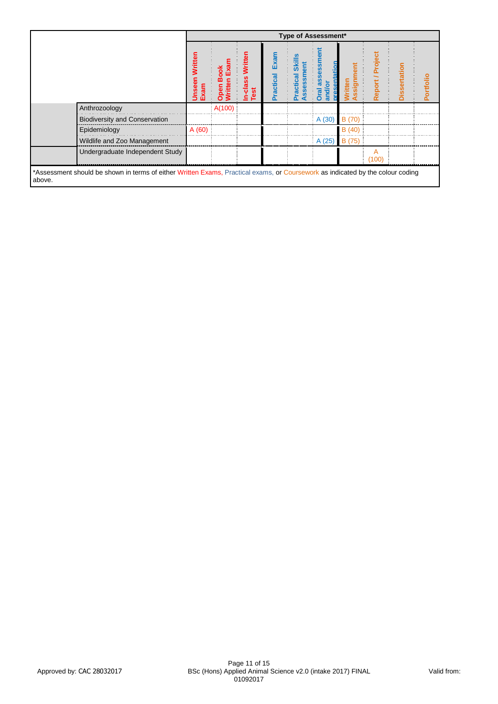|                                                                                                                                          |                               |        |                            |                   |                         | Type of Assessment* |               |                  |             |           |
|------------------------------------------------------------------------------------------------------------------------------------------|-------------------------------|--------|----------------------------|-------------------|-------------------------|---------------------|---------------|------------------|-------------|-----------|
|                                                                                                                                          | <b>Unseen Written</b><br>Exam | ᅙ      | Writte<br>In-class<br>Test | Exam<br>Practical | ඎ<br>ssess<br>acti<br>ᢛ | ō<br>Dra<br>and     | S<br>ēr       | Projer<br>Report | tatior<br>ñ | Portfolio |
| Anthrozoology                                                                                                                            |                               | A(100) |                            |                   |                         |                     |               |                  |             |           |
| <b>Biodiversity and Conservation</b>                                                                                                     |                               |        |                            |                   |                         | A (30)              | B (70)        |                  |             |           |
| Epidemiology                                                                                                                             | A (60)                        |        |                            |                   |                         |                     | B(40)         |                  |             |           |
| Wildlife and Zoo Management                                                                                                              |                               |        |                            |                   |                         | A(25)               | <b>B</b> (75) |                  |             |           |
| Undergraduate Independent Study                                                                                                          |                               |        |                            |                   |                         |                     |               | A<br>(100)       |             |           |
| *Assessment should be shown in terms of either Written Exams, Practical exams, or Coursework as indicated by the colour coding<br>above. |                               |        |                            |                   |                         |                     |               |                  |             |           |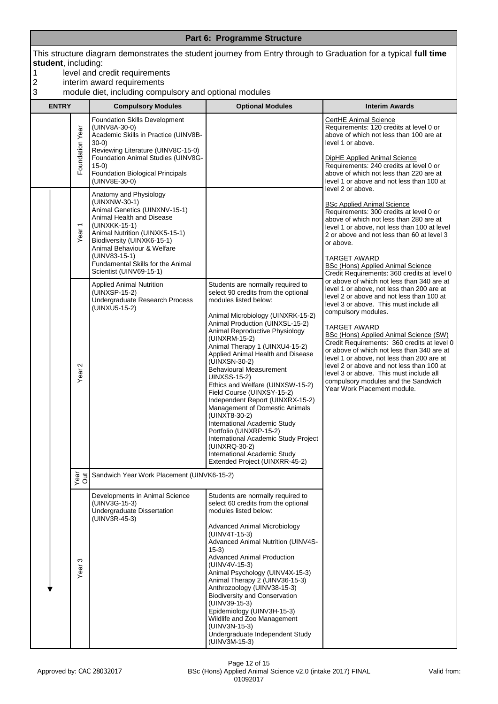| 1<br>$\overline{\mathbf{c}}$ | student, including: |                                                                                                                                   | level and credit requirements<br>interim award requirements                                                                                                                                                                                                                                           |                                                                                                                                                                                                                                                                                                                                                                                                                                                                                                                                                                                                                                                                                                                       | This structure diagram demonstrates the student journey from Entry through to Graduation for a typical full time                                                                                                                                                                                                                                                                                                                                                                                                                                                                         |
|------------------------------|---------------------|-----------------------------------------------------------------------------------------------------------------------------------|-------------------------------------------------------------------------------------------------------------------------------------------------------------------------------------------------------------------------------------------------------------------------------------------------------|-----------------------------------------------------------------------------------------------------------------------------------------------------------------------------------------------------------------------------------------------------------------------------------------------------------------------------------------------------------------------------------------------------------------------------------------------------------------------------------------------------------------------------------------------------------------------------------------------------------------------------------------------------------------------------------------------------------------------|------------------------------------------------------------------------------------------------------------------------------------------------------------------------------------------------------------------------------------------------------------------------------------------------------------------------------------------------------------------------------------------------------------------------------------------------------------------------------------------------------------------------------------------------------------------------------------------|
| 3                            |                     |                                                                                                                                   | module diet, including compulsory and optional modules                                                                                                                                                                                                                                                |                                                                                                                                                                                                                                                                                                                                                                                                                                                                                                                                                                                                                                                                                                                       |                                                                                                                                                                                                                                                                                                                                                                                                                                                                                                                                                                                          |
|                              | <b>ENTRY</b>        |                                                                                                                                   | <b>Compulsory Modules</b>                                                                                                                                                                                                                                                                             | <b>Optional Modules</b>                                                                                                                                                                                                                                                                                                                                                                                                                                                                                                                                                                                                                                                                                               | <b>Interim Awards</b>                                                                                                                                                                                                                                                                                                                                                                                                                                                                                                                                                                    |
|                              |                     | Foundation Year                                                                                                                   | <b>Foundation Skills Development</b><br>(UINV8A-30-0)<br>Academic Skills in Practice (UINV8B-<br>$30-0)$<br>Reviewing Literature (UINV8C-15-0)<br>Foundation Animal Studies (UINV8G-<br>$15-0)$<br>Foundation Biological Principals<br>(UINV8E-30-0)                                                  |                                                                                                                                                                                                                                                                                                                                                                                                                                                                                                                                                                                                                                                                                                                       | <b>CertHE Animal Science</b><br>Requirements: 120 credits at level 0 or<br>above of which not less than 100 are at<br>level 1 or above.<br><b>DipHE Applied Animal Science</b><br>Requirements: 240 credits at level 0 or<br>above of which not less than 220 are at<br>level 1 or above and not less than 100 at<br>level 2 or above.                                                                                                                                                                                                                                                   |
|                              |                     | Year <sub>1</sub>                                                                                                                 | Anatomy and Physiology<br>(UINXNW-30-1)<br>Animal Genetics (UINXNV-15-1)<br>Animal Health and Disease<br>(UINXKK-15-1)<br>Animal Nutrition (UINXK5-15-1)<br>Biodiversity (UINXK6-15-1)<br>Animal Behaviour & Welfare<br>(UINV83-15-1)<br>Fundamental Skills for the Animal<br>Scientist (UINV69-15-1) |                                                                                                                                                                                                                                                                                                                                                                                                                                                                                                                                                                                                                                                                                                                       | <b>BSc Applied Animal Science</b><br>Requirements: 300 credits at level 0 or<br>above of which not less than 280 are at<br>level 1 or above, not less than 100 at level<br>2 or above and not less than 60 at level 3<br>or above.<br><b>TARGET AWARD</b><br>BSc (Hons) Applied Animal Science<br>Credit Requirements: 360 credits at level 0                                                                                                                                                                                                                                            |
|                              |                     | <b>Applied Animal Nutrition</b><br>(UINXSP-15-2)<br>Undergraduate Research Process<br>(UINXU5-15-2)<br>$\mathbf{\Omega}$<br>Year: |                                                                                                                                                                                                                                                                                                       | Students are normally required to<br>select 90 credits from the optional<br>modules listed below:<br>Animal Microbiology (UINXRK-15-2)<br>Animal Production (UINXSL-15-2)<br>Animal Reproductive Physiology<br>(UINXRM-15-2)<br>Animal Therapy 1 (UINXU4-15-2)<br>Applied Animal Health and Disease<br>(UINXSN-30-2)<br><b>Behavioural Measurement</b><br>UINXSS-15-2)<br>Ethics and Welfare (UINXSW-15-2)<br>Field Course (UINXSY-15-2)<br>Independent Report (UINXRX-15-2)<br>Management of Domestic Animals<br>(UINXT8-30-2)<br>International Academic Study<br>Portfolio (UINXRP-15-2)<br>International Academic Study Project<br>(UINXRQ-30-2)<br>International Academic Study<br>Extended Project (UINXRR-45-2) | or above of which not less than 340 are at<br>level 1 or above, not less than 200 are at<br>level 2 or above and not less than 100 at<br>level 3 or above. This must include all<br>compulsory modules.<br><b>TARGET AWARD</b><br><b>BSc (Hons) Applied Animal Science (SW)</b><br>Credit Requirements: 360 credits at level 0<br>or above of which not less than 340 are at<br>level 1 or above, not less than 200 are at<br>level 2 or above and not less than 100 at<br>level 3 or above. This must include all<br>compulsory modules and the Sandwich<br>Year Work Placement module. |
|                              |                     | year<br>Out                                                                                                                       | Sandwich Year Work Placement (UINVK6-15-2)                                                                                                                                                                                                                                                            |                                                                                                                                                                                                                                                                                                                                                                                                                                                                                                                                                                                                                                                                                                                       |                                                                                                                                                                                                                                                                                                                                                                                                                                                                                                                                                                                          |
|                              |                     | S<br>Year                                                                                                                         | Developments in Animal Science<br>(UINV3G-15-3)<br>Undergraduate Dissertation<br>(UINV3R-45-3)                                                                                                                                                                                                        | Students are normally required to<br>select 60 credits from the optional<br>modules listed below:<br>Advanced Animal Microbiology<br>(UINV4T-15-3)<br>Advanced Animal Nutrition (UINV4S-<br>$15-3)$<br><b>Advanced Animal Production</b><br>(UINV4V-15-3)<br>Animal Psychology (UINV4X-15-3)<br>Animal Therapy 2 (UINV36-15-3)<br>Anthrozoology (UINV38-15-3)<br><b>Biodiversity and Conservation</b><br>(UINV39-15-3)<br>Epidemiology (UINV3H-15-3)<br>Wildlife and Zoo Management<br>(UINV3N-15-3)<br>Undergraduate Independent Study<br>(UINV3M-15-3)                                                                                                                                                              |                                                                                                                                                                                                                                                                                                                                                                                                                                                                                                                                                                                          |

**Part 6: Programme Structure**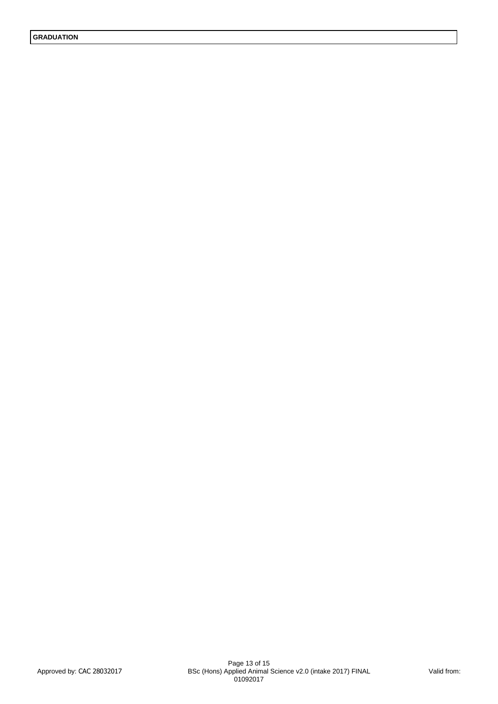**GRADUATION**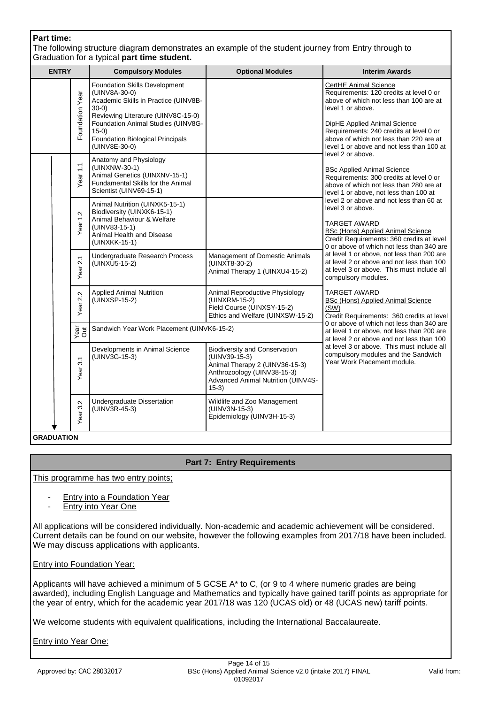| <b>Part time:</b> |                     | Graduation for a typical part time student.                                                                                                                                                                                                                  | The following structure diagram demonstrates an example of the student journey from Entry through to                                                                    |                                                                                                                                                                                                                                                                                                                          |
|-------------------|---------------------|--------------------------------------------------------------------------------------------------------------------------------------------------------------------------------------------------------------------------------------------------------------|-------------------------------------------------------------------------------------------------------------------------------------------------------------------------|--------------------------------------------------------------------------------------------------------------------------------------------------------------------------------------------------------------------------------------------------------------------------------------------------------------------------|
| <b>ENTRY</b>      |                     | <b>Compulsory Modules</b>                                                                                                                                                                                                                                    | <b>Optional Modules</b>                                                                                                                                                 | <b>Interim Awards</b>                                                                                                                                                                                                                                                                                                    |
|                   | Foundation Year     | <b>Foundation Skills Development</b><br>(UINV8A-30-0)<br>Academic Skills in Practice (UINV8B-<br>$30-0)$<br>Reviewing Literature (UINV8C-15-0)<br>Foundation Animal Studies (UINV8G-<br>$(15-0)$<br><b>Foundation Biological Principals</b><br>(UINV8E-30-0) |                                                                                                                                                                         | CertHE Animal Science<br>Requirements: 120 credits at level 0 or<br>above of which not less than 100 are at<br>level 1 or above.<br>DipHE Applied Animal Science<br>Requirements: 240 credits at level 0 or<br>above of which not less than 220 are at<br>level 1 or above and not less than 100 at<br>level 2 or above. |
|                   | Year <sub>1.1</sub> | Anatomy and Physiology<br>(UINXNW-30-1)<br>Animal Genetics (UINXNV-15-1)<br>Fundamental Skills for the Animal<br>Scientist (UINV69-15-1)                                                                                                                     |                                                                                                                                                                         | <b>BSc Applied Animal Science</b><br>Requirements: 300 credits at level 0 or<br>above of which not less than 280 are at<br>level 1 or above, not less than 100 at                                                                                                                                                        |
|                   | Year 1.2            | Animal Nutrition (UINXK5-15-1)<br>Biodiversity (UINXK6-15-1)<br>Animal Behaviour & Welfare<br>(UINV83-15-1)<br>Animal Health and Disease<br>(UINXKK-15-1)                                                                                                    |                                                                                                                                                                         | level 2 or above and not less than 60 at<br>level 3 or above.<br><b>TARGET AWARD</b><br><b>BSc (Hons) Applied Animal Science</b><br>Credit Requirements: 360 credits at level<br>0 or above of which not less than 340 are                                                                                               |
|                   | 2.1<br>Year         | Undergraduate Research Process<br>(UINXU5-15-2)                                                                                                                                                                                                              | Management of Domestic Animals<br>(UINXT8-30-2)<br>Animal Therapy 1 (UINXU4-15-2)                                                                                       | at level 1 or above, not less than 200 are<br>at level 2 or above and not less than 100<br>at level 3 or above. This must include all<br>compulsory modules.                                                                                                                                                             |
|                   | 2.2<br>ēā           | <b>Applied Animal Nutrition</b><br>$(iu$ INXSP-15-2)                                                                                                                                                                                                         | Animal Reproductive Physiology<br>$(UINXRM-15-2)$<br>Field Course (UINXSY-15-2)<br>Ethics and Welfare (UINXSW-15-2)                                                     | <b>TARGET AWARD</b><br>BSc (Hons) Applied Animal Science<br>(SW)<br>Credit Requirements: 360 credits at level                                                                                                                                                                                                            |
|                   | Year<br>Out         | Sandwich Year Work Placement (UINVK6-15-2)                                                                                                                                                                                                                   |                                                                                                                                                                         | 0 or above of which not less than 340 are<br>at level 1 or above, not less than 200 are<br>at level 2 or above and not less than 100                                                                                                                                                                                     |
|                   | 3.1<br>Year:        | Developments in Animal Science<br>(UINV3G-15-3)                                                                                                                                                                                                              | <b>Biodiversity and Conservation</b><br>(UINV39-15-3)<br>Animal Therapy 2 (UINV36-15-3)<br>Anthrozoology (UINV38-15-3)<br>Advanced Animal Nutrition (UINV4S-<br>$15-3)$ | at level 3 or above. This must include all<br>compulsory modules and the Sandwich<br>Year Work Placement module.                                                                                                                                                                                                         |
|                   | 3.2<br>Year         | Undergraduate Dissertation<br>(UINV3R-45-3)                                                                                                                                                                                                                  | Wildlife and Zoo Management<br>(UINV3N-15-3)<br>Epidemiology (UINV3H-15-3)                                                                                              |                                                                                                                                                                                                                                                                                                                          |
| <b>GRADUATION</b> |                     |                                                                                                                                                                                                                                                              |                                                                                                                                                                         |                                                                                                                                                                                                                                                                                                                          |

### **Part 7: Entry Requirements**

This programme has two entry points;

- Entry into a Foundation Year
- Entry into Year One

All applications will be considered individually. Non-academic and academic achievement will be considered. Current details can be found on our website, however the following examples from 2017/18 have been included. We may discuss applications with applicants.

#### Entry into Foundation Year:

Applicants will have achieved a minimum of 5 GCSE A\* to C, (or 9 to 4 where numeric grades are being awarded), including English Language and Mathematics and typically have gained tariff points as appropriate for the year of entry, which for the academic year 2017/18 was 120 (UCAS old) or 48 (UCAS new) tariff points.

We welcome students with equivalent qualifications, including the International Baccalaureate.

Entry into Year One: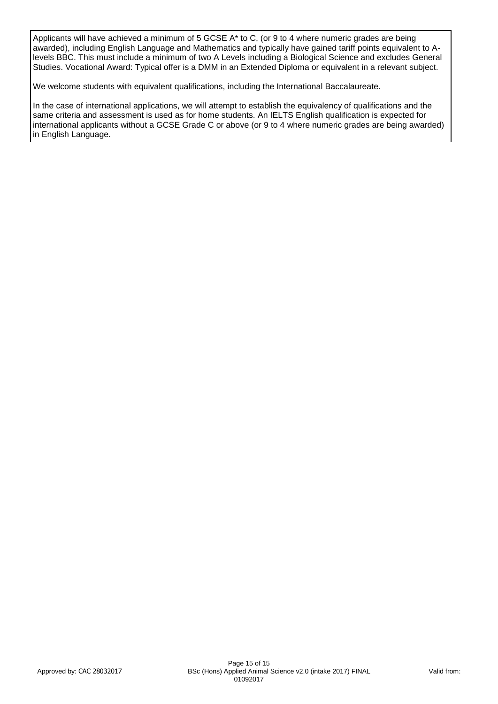Applicants will have achieved a minimum of 5 GCSE A\* to C, (or 9 to 4 where numeric grades are being awarded), including English Language and Mathematics and typically have gained tariff points equivalent to Alevels BBC. This must include a minimum of two A Levels including a Biological Science and excludes General Studies. Vocational Award: Typical offer is a DMM in an Extended Diploma or equivalent in a relevant subject.

We welcome students with equivalent qualifications, including the International Baccalaureate.

In the case of international applications, we will attempt to establish the equivalency of qualifications and the same criteria and assessment is used as for home students. An IELTS English qualification is expected for international applicants without a GCSE Grade C or above (or 9 to 4 where numeric grades are being awarded) in English Language.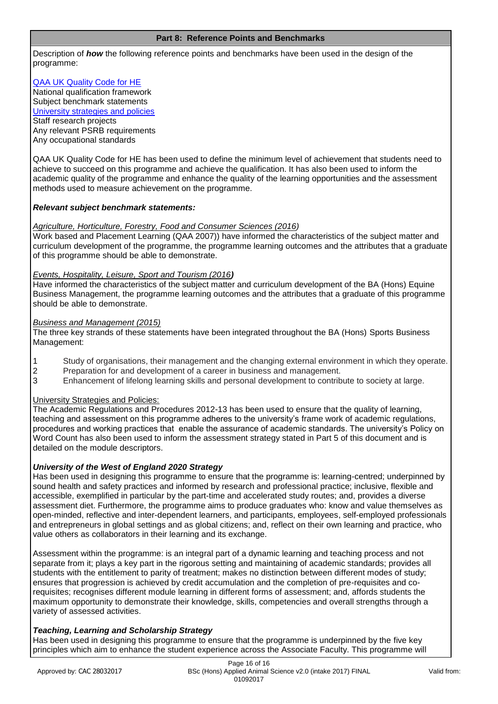#### **Part 8: Reference Points and Benchmarks**

Description of *how* the following reference points and benchmarks have been used in the design of the programme:

[QAA UK Quality Code for HE](http://www.qaa.ac.uk/assuringstandardsandquality/quality-code/Pages/default.aspx) National qualification framework Subject benchmark statements [University strategies and policies](http://www1.uwe.ac.uk/aboutus/policies) Staff research projects Any relevant PSRB requirements Any occupational standards

QAA UK Quality Code for HE has been used to define the minimum level of achievement that students need to achieve to succeed on this programme and achieve the qualification. It has also been used to inform the academic quality of the programme and enhance the quality of the learning opportunities and the assessment methods used to measure achievement on the programme.

### *Relevant subject benchmark statements:*

#### *Agriculture, Horticulture, Forestry, Food and Consumer Sciences (2016)*

Work based and Placement Learning (QAA 2007)) have informed the characteristics of the subject matter and curriculum development of the programme, the programme learning outcomes and the attributes that a graduate of this programme should be able to demonstrate.

### *Events, Hospitality, Leisure, Sport and Tourism (2016)*

Have informed the characteristics of the subject matter and curriculum development of the BA (Hons) Equine Business Management, the programme learning outcomes and the attributes that a graduate of this programme should be able to demonstrate.

#### *Business and Management (2015)*

The three key strands of these statements have been integrated throughout the BA (Hons) Sports Business Management:

- 1 Study of organisations, their management and the changing external environment in which they operate.
- 2 Preparation for and development of a career in business and management.
- 3 Enhancement of lifelong learning skills and personal development to contribute to society at large.

### University Strategies and Policies:

The Academic Regulations and Procedures 2012-13 has been used to ensure that the quality of learning, teaching and assessment on this programme adheres to the university's frame work of academic regulations, procedures and working practices that enable the assurance of academic standards. The university's Policy on Word Count has also been used to inform the assessment strategy stated in Part 5 of this document and is detailed on the module descriptors.

### *University of the West of England 2020 Strategy*

Has been used in designing this programme to ensure that the programme is: learning-centred; underpinned by sound health and safety practices and informed by research and professional practice; inclusive, flexible and accessible, exemplified in particular by the part-time and accelerated study routes; and, provides a diverse assessment diet. Furthermore, the programme aims to produce graduates who: know and value themselves as open-minded, reflective and inter-dependent learners, and participants, employees, self-employed professionals and entrepreneurs in global settings and as global citizens; and, reflect on their own learning and practice, who value others as collaborators in their learning and its exchange.

Assessment within the programme: is an integral part of a dynamic learning and teaching process and not separate from it; plays a key part in the rigorous setting and maintaining of academic standards; provides all students with the entitlement to parity of treatment; makes no distinction between different modes of study; ensures that progression is achieved by credit accumulation and the completion of pre-requisites and corequisites; recognises different module learning in different forms of assessment; and, affords students the maximum opportunity to demonstrate their knowledge, skills, competencies and overall strengths through a variety of assessed activities.

### *Teaching, Learning and Scholarship Strategy*

Has been used in designing this programme to ensure that the programme is underpinned by the five key principles which aim to enhance the student experience across the Associate Faculty. This programme will